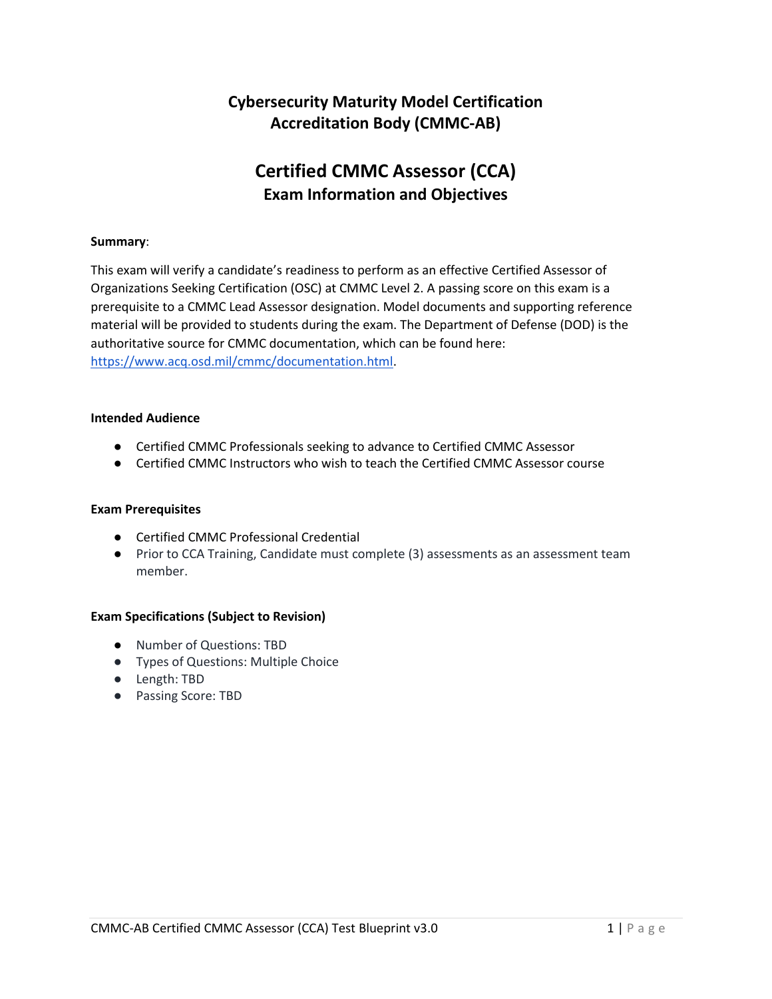## **Cybersecurity Maturity Model Certification Accreditation Body (CMMC-AB)**

# **Certified CMMC Assessor (CCA) Exam Information and Objectives**

#### **Summary**:

This exam will verify a candidate's readiness to perform as an effective Certified Assessor of Organizations Seeking Certification (OSC) at CMMC Level 2. A passing score on this exam is a prerequisite to a CMMC Lead Assessor designation. Model documents and supporting reference material will be provided to students during the exam. The Department of Defense (DOD) is the authoritative source for CMMC documentation, which can be found here: [https://www.acq.osd.mil/cmmc/documentation.html.](https://www.acq.osd.mil/cmmc/documentation.html)

#### **Intended Audience**

- Certified CMMC Professionals seeking to advance to Certified CMMC Assessor
- Certified CMMC Instructors who wish to teach the Certified CMMC Assessor course

#### **Exam Prerequisites**

- Certified CMMC Professional Credential
- Prior to CCA Training, Candidate must complete (3) assessments as an assessment team member.

#### **Exam Specifications (Subject to Revision)**

- Number of Questions: TBD
- Types of Questions: Multiple Choice
- Length: TBD
- Passing Score: TBD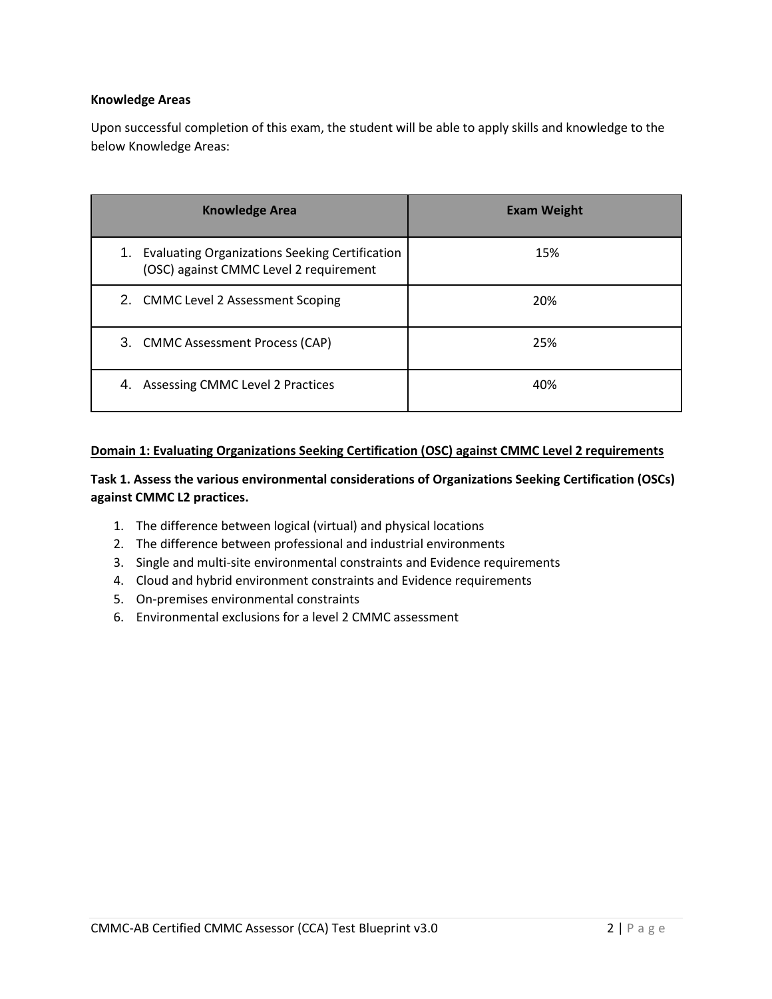#### **Knowledge Areas**

Upon successful completion of this exam, the student will be able to apply skills and knowledge to the below Knowledge Areas:

| <b>Knowledge Area</b>                                                                                 | <b>Exam Weight</b> |
|-------------------------------------------------------------------------------------------------------|--------------------|
| <b>Evaluating Organizations Seeking Certification</b><br>1.<br>(OSC) against CMMC Level 2 requirement | 15%                |
| 2. CMMC Level 2 Assessment Scoping                                                                    | 20%                |
| 3. CMMC Assessment Process (CAP)                                                                      | 25%                |
| Assessing CMMC Level 2 Practices<br>4.                                                                | 40%                |

## **Domain 1: Evaluating Organizations Seeking Certification (OSC) against CMMC Level 2 requirements**

## **Task 1. Assess the various environmental considerations of Organizations Seeking Certification (OSCs) against CMMC L2 practices.**

- 1. The difference between logical (virtual) and physical locations
- 2. The difference between professional and industrial environments
- 3. Single and multi-site environmental constraints and Evidence requirements
- 4. Cloud and hybrid environment constraints and Evidence requirements
- 5. On-premises environmental constraints
- 6. Environmental exclusions for a level 2 CMMC assessment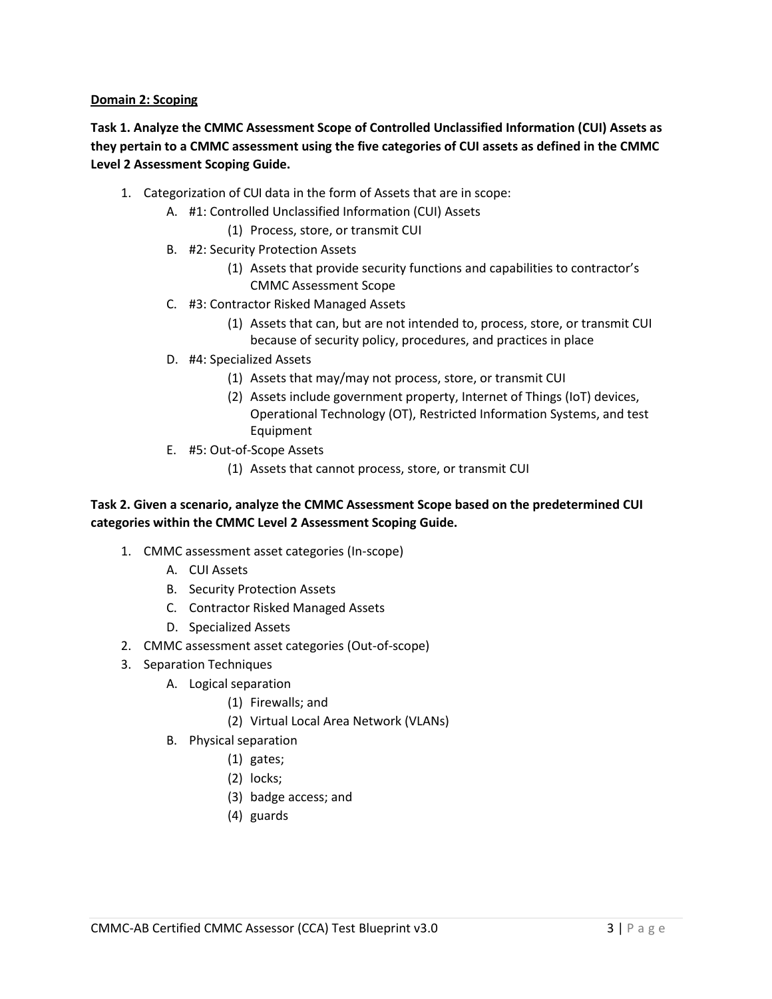#### **Domain 2: Scoping**

**Task 1. Analyze the CMMC Assessment Scope of Controlled Unclassified Information (CUI) Assets as they pertain to a CMMC assessment using the five categories of CUI assets as defined in the CMMC Level 2 Assessment Scoping Guide.**

- 1. Categorization of CUI data in the form of Assets that are in scope:
	- A. #1: Controlled Unclassified Information (CUI) Assets
		- (1) Process, store, or transmit CUI
	- B. #2: Security Protection Assets
		- (1) Assets that provide security functions and capabilities to contractor's CMMC Assessment Scope
	- C. #3: Contractor Risked Managed Assets
		- (1) Assets that can, but are not intended to, process, store, or transmit CUI because of security policy, procedures, and practices in place
	- D. #4: Specialized Assets
		- (1) Assets that may/may not process, store, or transmit CUI
		- (2) Assets include government property, Internet of Things (IoT) devices, Operational Technology (OT), Restricted Information Systems, and test Equipment
	- E. #5: Out-of-Scope Assets
		- (1) Assets that cannot process, store, or transmit CUI

## **Task 2. Given a scenario, analyze the CMMC Assessment Scope based on the predetermined CUI categories within the CMMC Level 2 Assessment Scoping Guide.**

- 1. CMMC assessment asset categories (In-scope)
	- A. CUI Assets
	- B. Security Protection Assets
	- C. Contractor Risked Managed Assets
	- D. Specialized Assets
- 2. CMMC assessment asset categories (Out-of-scope)
- 3. Separation Techniques
	- A. Logical separation
		- (1) Firewalls; and
		- (2) Virtual Local Area Network (VLANs)
	- B. Physical separation
		- (1) gates;
		- (2) locks;
		- (3) badge access; and
		- (4) guards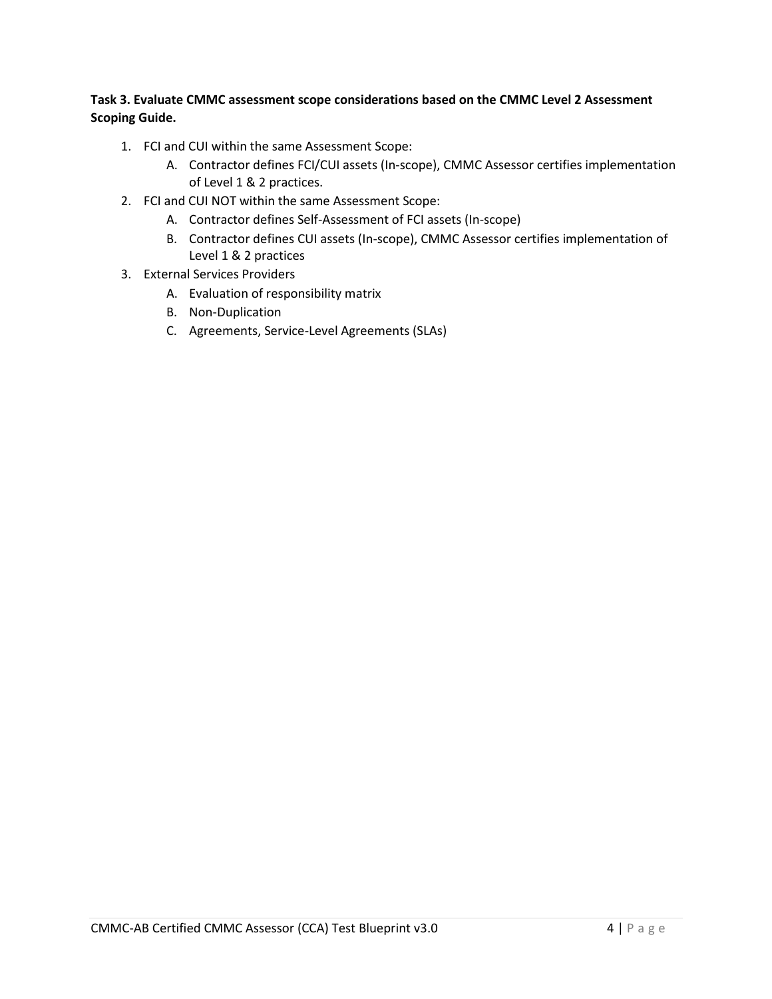## **Task 3. Evaluate CMMC assessment scope considerations based on the CMMC Level 2 Assessment Scoping Guide.**

- 1. FCI and CUI within the same Assessment Scope:
	- A. Contractor defines FCI/CUI assets (In-scope), CMMC Assessor certifies implementation of Level 1 & 2 practices.
- 2. FCI and CUI NOT within the same Assessment Scope:
	- A. Contractor defines Self-Assessment of FCI assets (In-scope)
	- B. Contractor defines CUI assets (In-scope), CMMC Assessor certifies implementation of Level 1 & 2 practices
- 3. External Services Providers
	- A. Evaluation of responsibility matrix
	- B. Non-Duplication
	- C. Agreements, Service-Level Agreements (SLAs)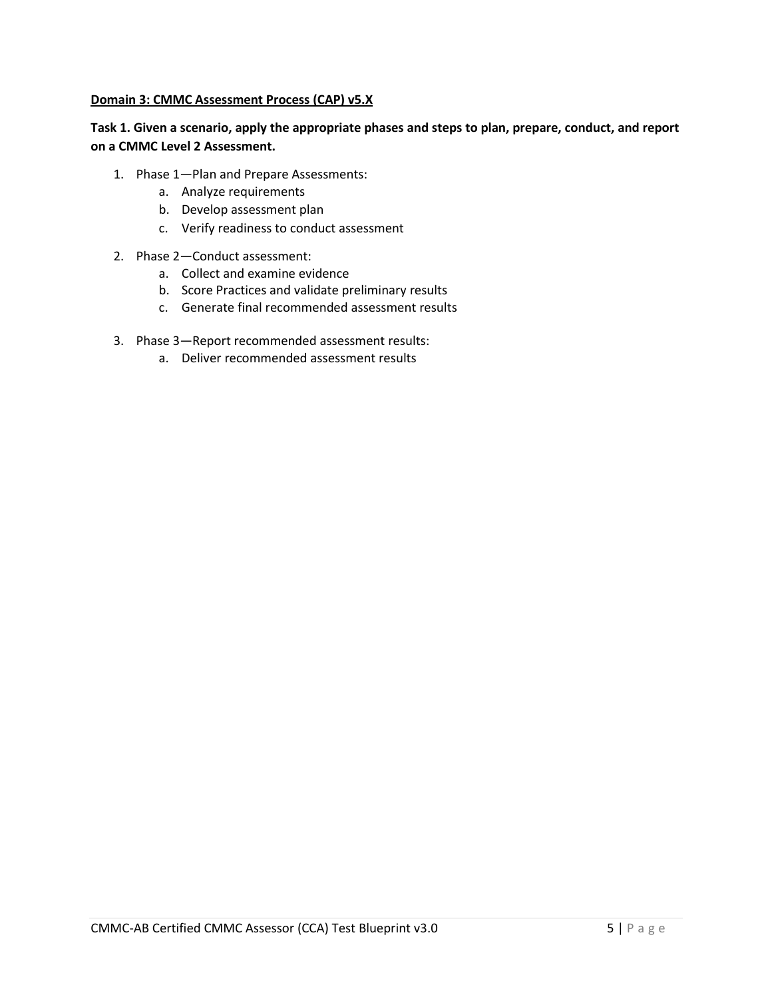#### **Domain 3: CMMC Assessment Process (CAP) v5.X**

## **Task 1. Given a scenario, apply the appropriate phases and steps to plan, prepare, conduct, and report on a CMMC Level 2 Assessment.**

- 1. Phase 1—Plan and Prepare Assessments:
	- a. Analyze requirements
	- b. Develop assessment plan
	- c. Verify readiness to conduct assessment
- 2. Phase 2—Conduct assessment:
	- a. Collect and examine evidence
	- b. Score Practices and validate preliminary results
	- c. Generate final recommended assessment results
- 3. Phase 3—Report recommended assessment results:
	- a. Deliver recommended assessment results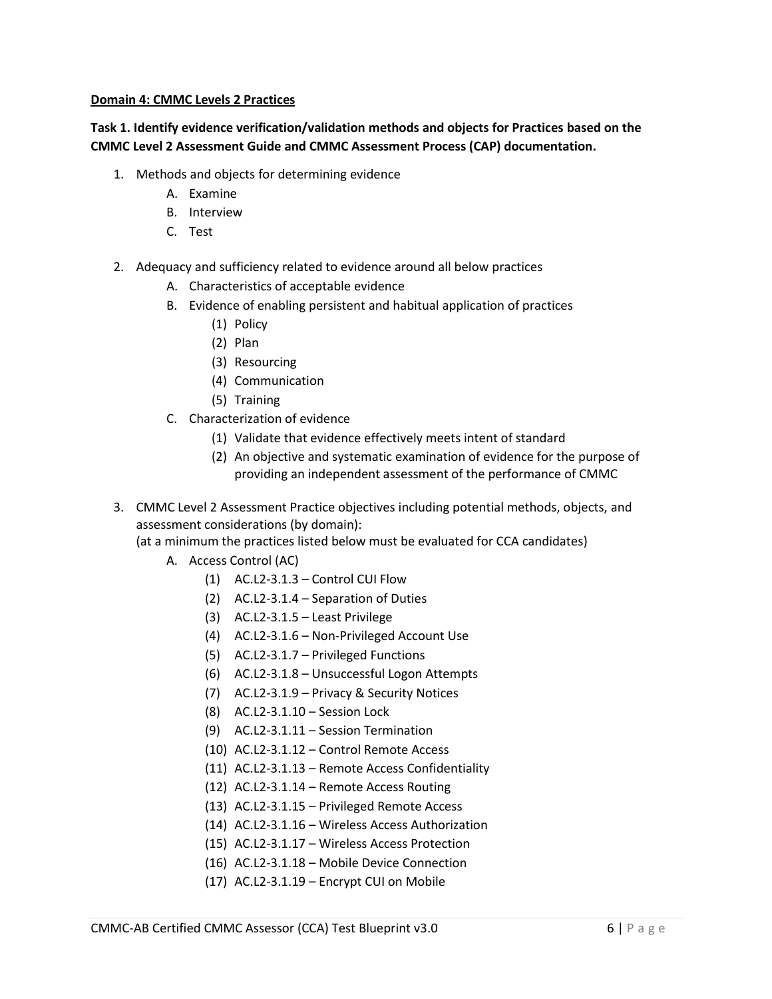#### **Domain 4: CMMC Levels 2 Practices**

## **Task 1. Identify evidence verification/validation methods and objects for Practices based on the CMMC Level 2 Assessment Guide and CMMC Assessment Process (CAP) documentation.**

- 1. Methods and objects for determining evidence
	- A. Examine
	- B. Interview
	- C. Test
- 2. Adequacy and sufficiency related to evidence around all below practices
	- A. Characteristics of acceptable evidence
	- B. Evidence of enabling persistent and habitual application of practices
		- (1) Policy
		- (2) Plan
		- (3) Resourcing
		- (4) Communication
		- (5) Training
	- C. Characterization of evidence
		- (1) Validate that evidence effectively meets intent of standard
		- (2) An objective and systematic examination of evidence for the purpose of providing an independent assessment of the performance of CMMC
- 3. CMMC Level 2 Assessment Practice objectives including potential methods, objects, and assessment considerations (by domain):

(at a minimum the practices listed below must be evaluated for CCA candidates)

- A. Access Control (AC)
	- (1) AC.L2-3.1.3 Control CUI Flow
	- (2) AC.L2-3.1.4 Separation of Duties
	- (3) AC.L2-3.1.5 Least Privilege
	- (4) AC.L2-3.1.6 Non-Privileged Account Use
	- (5) AC.L2-3.1.7 Privileged Functions
	- (6) AC.L2-3.1.8 Unsuccessful Logon Attempts
	- (7) AC.L2-3.1.9 Privacy & Security Notices
	- (8) AC.L2-3.1.10 Session Lock
	- (9) AC.L2-3.1.11 Session Termination
	- (10) AC.L2-3.1.12 Control Remote Access
	- (11) AC.L2-3.1.13 Remote Access Confidentiality
	- (12) AC.L2-3.1.14 Remote Access Routing
	- (13) AC.L2-3.1.15 Privileged Remote Access
	- (14) AC.L2-3.1.16 Wireless Access Authorization
	- (15) AC.L2-3.1.17 Wireless Access Protection
	- (16) AC.L2-3.1.18 Mobile Device Connection
	- (17) AC.L2-3.1.19 Encrypt CUI on Mobile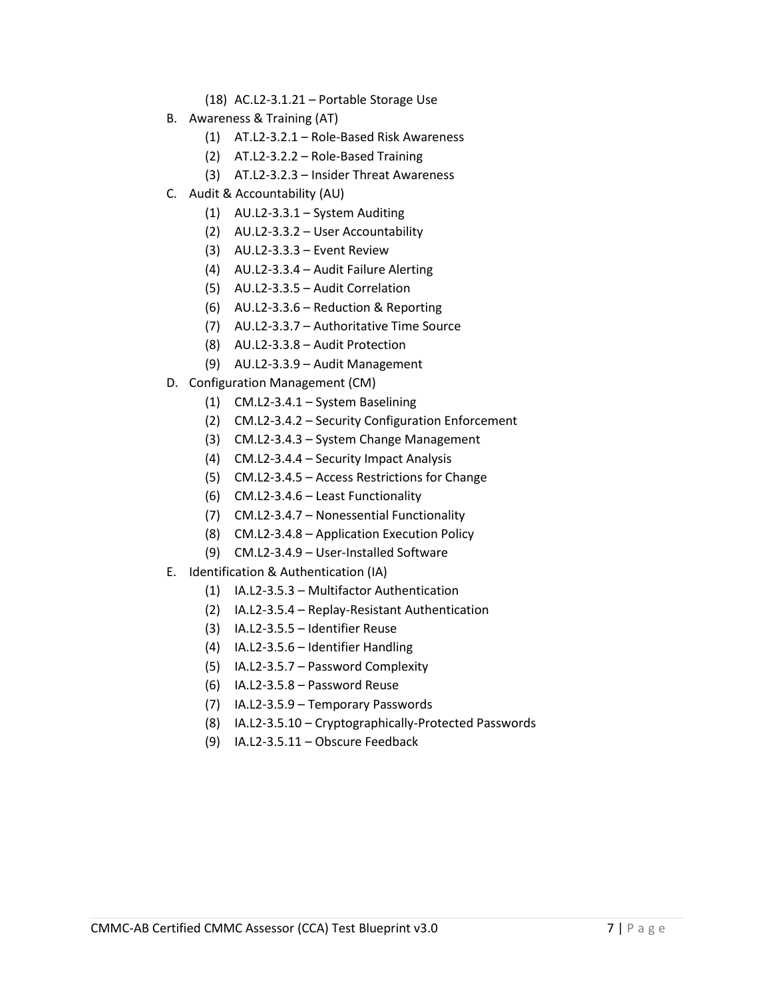- (18) AC.L2-3.1.21 Portable Storage Use
- B. Awareness & Training (AT)
	- (1) AT.L2-3.2.1 Role-Based Risk Awareness
	- (2) AT.L2-3.2.2 Role-Based Training
	- (3) AT.L2-3.2.3 Insider Threat Awareness
- C. Audit & Accountability (AU)
	- (1) AU.L2-3.3.1 System Auditing
	- (2) AU.L2-3.3.2 User Accountability
	- (3) AU.L2-3.3.3 Event Review
	- (4) AU.L2-3.3.4 Audit Failure Alerting
	- (5) AU.L2-3.3.5 Audit Correlation
	- (6) AU.L2-3.3.6 Reduction & Reporting
	- (7) AU.L2-3.3.7 Authoritative Time Source
	- (8) AU.L2-3.3.8 Audit Protection
	- (9) AU.L2-3.3.9 Audit Management
- D. Configuration Management (CM)
	- (1) CM.L2-3.4.1 System Baselining
	- (2) CM.L2-3.4.2 Security Configuration Enforcement
	- (3) CM.L2-3.4.3 System Change Management
	- (4) CM.L2-3.4.4 Security Impact Analysis
	- (5) CM.L2-3.4.5 Access Restrictions for Change
	- (6) CM.L2-3.4.6 Least Functionality
	- (7) CM.L2-3.4.7 Nonessential Functionality
	- (8) CM.L2-3.4.8 Application Execution Policy
	- (9) CM.L2-3.4.9 User-Installed Software
- E. Identification & Authentication (IA)
	- (1) IA.L2-3.5.3 Multifactor Authentication
	- (2) IA.L2-3.5.4 Replay-Resistant Authentication
	- (3) IA.L2-3.5.5 Identifier Reuse
	- (4) IA.L2-3.5.6 Identifier Handling
	- (5) IA.L2-3.5.7 Password Complexity
	- (6) IA.L2-3.5.8 Password Reuse
	- (7) IA.L2-3.5.9 Temporary Passwords
	- (8) IA.L2-3.5.10 Cryptographically-Protected Passwords
	- (9) IA.L2-3.5.11 Obscure Feedback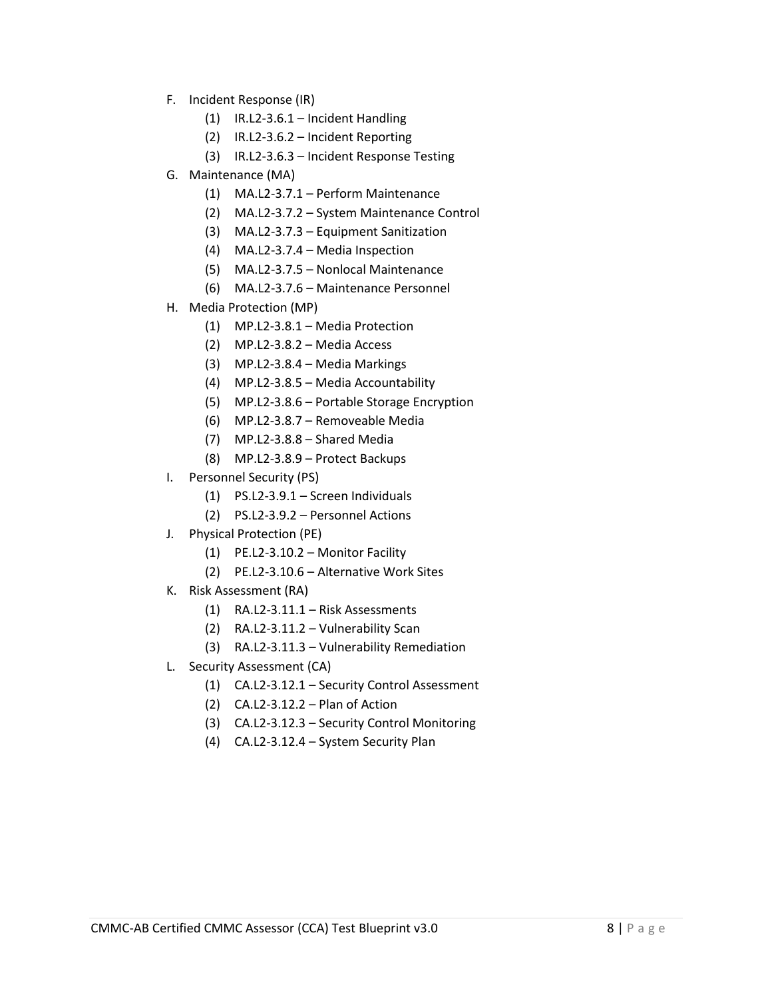- F. Incident Response (IR)
	- (1) IR.L2-3.6.1 Incident Handling
	- (2) IR.L2-3.6.2 Incident Reporting
	- (3) IR.L2-3.6.3 Incident Response Testing
- G. Maintenance (MA)
	- (1) MA.L2-3.7.1 Perform Maintenance
	- (2) MA.L2-3.7.2 System Maintenance Control
	- (3) MA.L2-3.7.3 Equipment Sanitization
	- (4) MA.L2-3.7.4 Media Inspection
	- (5) MA.L2-3.7.5 Nonlocal Maintenance
	- (6) MA.L2-3.7.6 Maintenance Personnel
- H. Media Protection (MP)
	- (1) MP.L2-3.8.1 Media Protection
	- (2) MP.L2-3.8.2 Media Access
	- (3) MP.L2-3.8.4 Media Markings
	- (4) MP.L2-3.8.5 Media Accountability
	- (5) MP.L2-3.8.6 Portable Storage Encryption
	- (6) MP.L2-3.8.7 Removeable Media
	- (7) MP.L2-3.8.8 Shared Media
	- (8) MP.L2-3.8.9 Protect Backups
- I. Personnel Security (PS)
	- (1) PS.L2-3.9.1 Screen Individuals
	- (2) PS.L2-3.9.2 Personnel Actions
- J. Physical Protection (PE)
	- (1) PE.L2-3.10.2 Monitor Facility
	- (2) PE.L2-3.10.6 Alternative Work Sites
- K. Risk Assessment (RA)
	- (1) RA.L2-3.11.1 Risk Assessments
	- (2) RA.L2-3.11.2 Vulnerability Scan
	- (3) RA.L2-3.11.3 Vulnerability Remediation
- L. Security Assessment (CA)
	- (1) CA.L2-3.12.1 Security Control Assessment
	- (2) CA.L2-3.12.2 Plan of Action
	- (3) CA.L2-3.12.3 Security Control Monitoring
	- (4) CA.L2-3.12.4 System Security Plan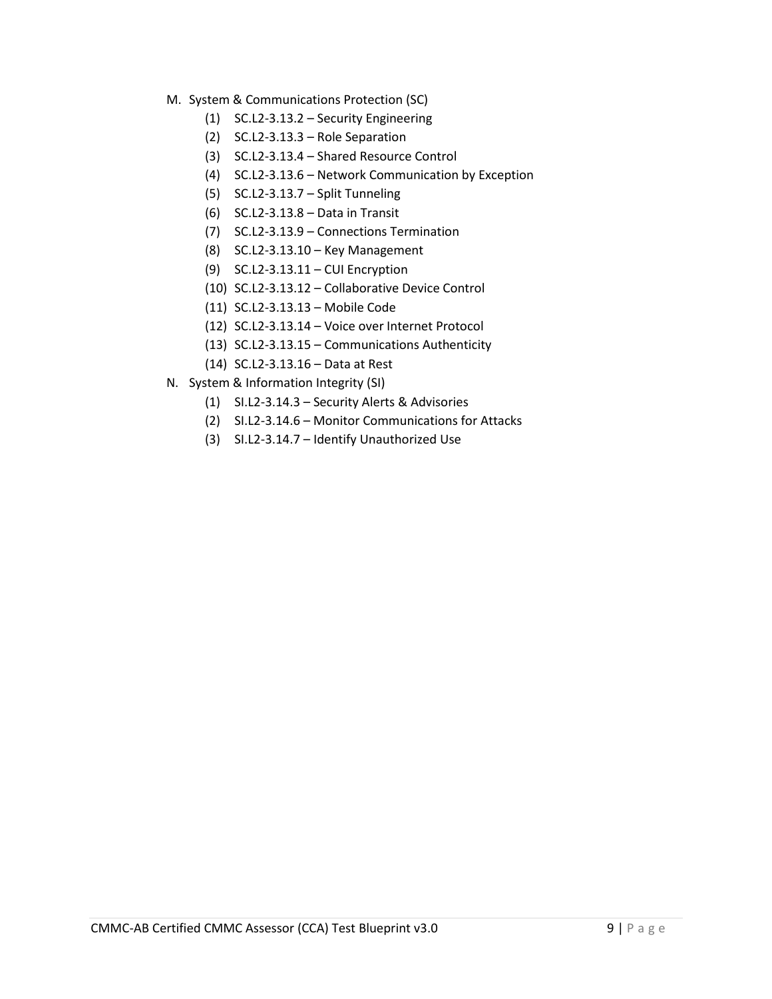- M. System & Communications Protection (SC)
	- (1) SC.L2-3.13.2 Security Engineering
	- (2) SC.L2-3.13.3 Role Separation
	- (3) SC.L2-3.13.4 Shared Resource Control
	- (4) SC.L2-3.13.6 Network Communication by Exception
	- (5) SC.L2-3.13.7 Split Tunneling
	- (6) SC.L2-3.13.8 Data in Transit
	- (7) SC.L2-3.13.9 Connections Termination
	- (8) SC.L2-3.13.10 Key Management
	- (9) SC.L2-3.13.11 CUI Encryption
	- (10) SC.L2-3.13.12 Collaborative Device Control
	- (11) SC.L2-3.13.13 Mobile Code
	- (12) SC.L2-3.13.14 Voice over Internet Protocol
	- (13) SC.L2-3.13.15 Communications Authenticity
	- (14) SC.L2-3.13.16 Data at Rest
- N. System & Information Integrity (SI)
	- (1) SI.L2-3.14.3 Security Alerts & Advisories
	- (2) SI.L2-3.14.6 Monitor Communications for Attacks
	- (3) SI.L2-3.14.7 Identify Unauthorized Use